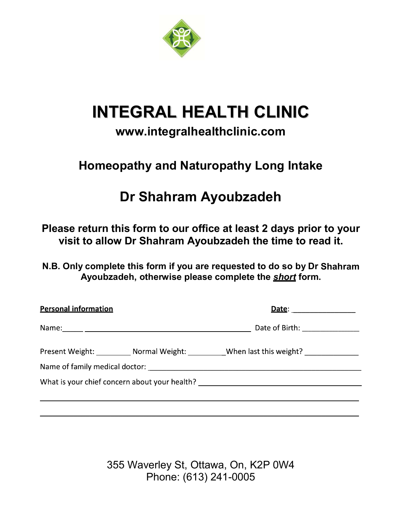

# **INTEGRAL HEALTH CLINIC**

# **www.integralhealthclinic.com**

# **Homeopathy and Naturopathy Long Intake**

# **Dr Shahram Ayoubzadeh**

**Please return this form to our office at least 2 days prior to your visit to allow Dr Shahram Ayoubzadeh the time to read it.** 

**N.B. Only complete this form if you are requested to do so by Dr Shahram Ayoubzadeh, otherwise please complete the** *short* **form.** 

| <b>Personal information</b> | Date: <u>Date: Same School School School School School School School School School School School School School School School School School School School School School School School School School School School School School S</u> |  |
|-----------------------------|--------------------------------------------------------------------------------------------------------------------------------------------------------------------------------------------------------------------------------------|--|
|                             | Date of Birth: _______________                                                                                                                                                                                                       |  |
|                             | Present Weight: Normal Weight: When last this weight?                                                                                                                                                                                |  |
|                             | What is your chief concern about your health? __________________________________                                                                                                                                                     |  |
|                             |                                                                                                                                                                                                                                      |  |

355 Waverley St, Ottawa, On, K2P 0W4 Phone: (613) 241-0005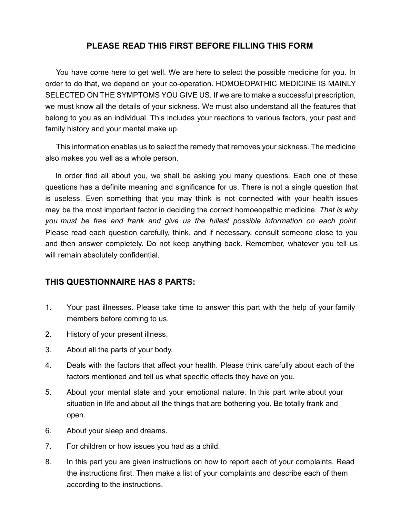# **PLEASE READ THIS FIRST BEFORE FILLING THIS FORM**

You have come here to get well. We are here to select the possible medicine for you. In order to do that, we depend on your co-operation. HOMOEOPATHIC MEDICINE IS MAINLY SELECTED ON THE SYMPTOMS YOU GIVE US. If we are to make a successful prescription, we must know all the details of your sickness. We must also understand all the features that belong to you as an individual. This includes your reactions to various factors, your past and family history and your mental make up.

This information enables us to select the remedy that removes your sickness. The medicine also makes you well as a whole person.

 In order find all about you, we shall be asking you many questions. Each one of these questions has a definite meaning and significance for us. There is not a single question that is useless. Even something that you may think is not connected with your health issues may be the most important factor in deciding the correct homoeopathic medicine. *That is why you must be free and frank and give us the fullest possible information on each point*. Please read each question carefully, think, and if necessary, consult someone close to you and then answer completely. Do not keep anything back. Remember, whatever you tell us will remain absolutely confidential.

#### **THIS QUESTIONNAIRE HAS 8 PARTS:**

- 1. Your past illnesses. Please take time to answer this part with the help of your family members before coming to us.
- 2. History of your present illness.
- 3. About all the parts of your body.
- 4. Deals with the factors that affect your health. Please think carefully about each of the factors mentioned and tell us what specific effects they have on you.
- 5. About your mental state and your emotional nature. In this part write about your situation in life and about all the things that are bothering you. Be totally frank and open.
- 6. About your sleep and dreams.
- 7. For children or how issues you had as a child.
- 8. In this part you are given instructions on how to report each of your complaints. Read the instructions first. Then make a list of your complaints and describe each of them according to the instructions.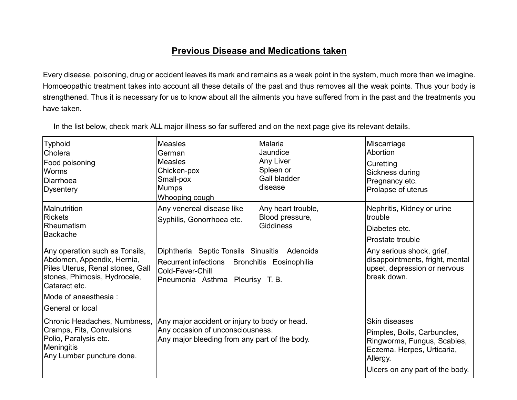# **Previous Disease and Medications taken**

Every disease, poisoning, drug or accident leaves its mark and remains as a weak point in the system, much more than we imagine. Homoeopathic treatment takes into account all these details of the past and thus removes all the weak points. Thus your body is strengthened. Thus it is necessary for us to know about all the ailments you have suffered from in the past and the treatments you have taken.

In the list below, check mark ALL major illness so far suffered and on the next page give its relevant details.

| <b>Typhoid</b><br>Cholera<br>Food poisoning<br><b>Worms</b><br>Diarrhoea<br><b>Dysentery</b>                                                      | <b>Measles</b><br>German<br>Measles<br>Chicken-pox<br>Small-pox<br>Mumps<br>Whooping cough                                                         | Malaria<br>Jaundice<br><b>Any Liver</b><br>Spleen or<br>Gall bladder<br>disease                             | Miscarriage<br>Abortion<br>Curetting<br>Sickness during<br>Pregnancy etc.<br>Prolapse of uterus                                                          |
|---------------------------------------------------------------------------------------------------------------------------------------------------|----------------------------------------------------------------------------------------------------------------------------------------------------|-------------------------------------------------------------------------------------------------------------|----------------------------------------------------------------------------------------------------------------------------------------------------------|
| Malnutrition<br><b>Rickets</b><br>Rheumatism<br><b>Backache</b>                                                                                   | Any venereal disease like<br>Syphilis, Gonorrhoea etc.                                                                                             | Any heart trouble,<br>Blood pressure,<br><b>Giddiness</b>                                                   | Nephritis, Kidney or urine<br>trouble<br>Diabetes etc.<br>Prostate trouble                                                                               |
| Any operation such as Tonsils,<br>Abdomen, Appendix, Hernia,<br>Piles Uterus, Renal stones, Gall<br>stones, Phimosis, Hydrocele,<br>Cataract etc. | Diphtheria Septic Tonsils Sinusitis Adenoids<br>Recurrent infections Bronchitis Eosinophilia<br>Cold-Fever-Chill<br>Pneumonia Asthma Pleurisy T.B. | Any serious shock, grief,<br>disappointments, fright, mental<br>upset, depression or nervous<br>break down. |                                                                                                                                                          |
| Mode of anaesthesia:<br>General or local                                                                                                          |                                                                                                                                                    |                                                                                                             |                                                                                                                                                          |
| Chronic Headaches, Numbness,<br>Cramps, Fits, Convulsions<br>Polio, Paralysis etc.<br><b>Meningitis</b><br>Any Lumbar puncture done.              | Any major accident or injury to body or head.<br>Any occasion of unconsciousness.<br>Any major bleeding from any part of the body.                 |                                                                                                             | Skin diseases<br>Pimples, Boils, Carbuncles,<br>Ringworms, Fungus, Scabies,<br>Eczema. Herpes, Urticaria,<br>Allergy.<br>Ulcers on any part of the body. |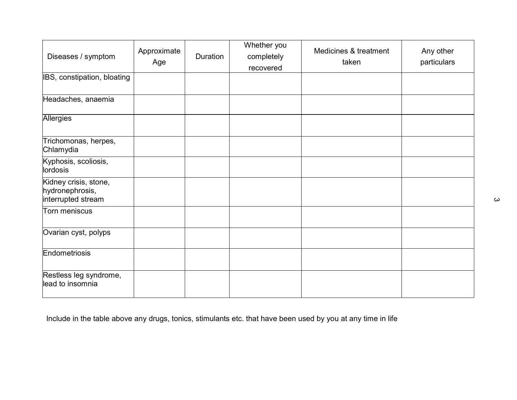| Diseases / symptom                                             | Approximate<br>Age | Duration | Whether you<br>completely<br>recovered | Medicines & treatment<br>taken | Any other<br>particulars |
|----------------------------------------------------------------|--------------------|----------|----------------------------------------|--------------------------------|--------------------------|
| IBS, constipation, bloating                                    |                    |          |                                        |                                |                          |
| Headaches, anaemia                                             |                    |          |                                        |                                |                          |
| <b>Allergies</b>                                               |                    |          |                                        |                                |                          |
| Trichomonas, herpes,<br>Chlamydia                              |                    |          |                                        |                                |                          |
| Kyphosis, scoliosis,<br>lordosis                               |                    |          |                                        |                                |                          |
| Kidney crisis, stone,<br>hydronephrosis,<br>interrupted stream |                    |          |                                        |                                |                          |
| Torn meniscus                                                  |                    |          |                                        |                                |                          |
| Ovarian cyst, polyps                                           |                    |          |                                        |                                |                          |
| Endometriosis                                                  |                    |          |                                        |                                |                          |
| Restless leg syndrome,<br>lead to insomnia                     |                    |          |                                        |                                |                          |

Include in the table above any drugs, tonics, stimulants etc. that have been used by you at any time in life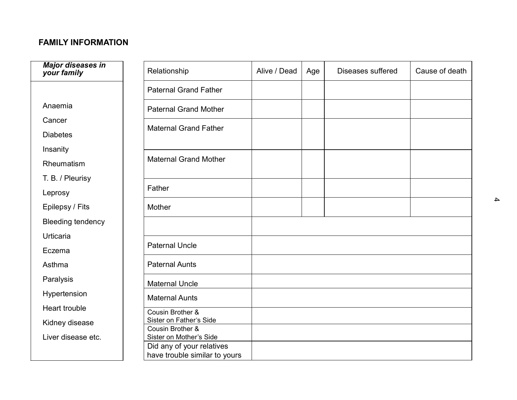# **FAMILY INFORMATION**

| <b>Major diseases in</b><br>your family | Relationship                                               | Alive / Dead | Age | Diseases suffered | Cause of death |
|-----------------------------------------|------------------------------------------------------------|--------------|-----|-------------------|----------------|
|                                         | <b>Paternal Grand Father</b>                               |              |     |                   |                |
| Anaemia                                 | <b>Paternal Grand Mother</b>                               |              |     |                   |                |
| Cancer                                  | <b>Maternal Grand Father</b>                               |              |     |                   |                |
| <b>Diabetes</b>                         |                                                            |              |     |                   |                |
| Insanity                                |                                                            |              |     |                   |                |
| Rheumatism                              | <b>Maternal Grand Mother</b>                               |              |     |                   |                |
| T. B. / Pleurisy                        |                                                            |              |     |                   |                |
| Leprosy                                 | Father                                                     |              |     |                   |                |
| Epilepsy / Fits                         | Mother                                                     |              |     |                   |                |
| <b>Bleeding tendency</b>                |                                                            |              |     |                   |                |
| Urticaria                               |                                                            |              |     |                   |                |
| Eczema                                  | <b>Paternal Uncle</b>                                      |              |     |                   |                |
| Asthma                                  | <b>Paternal Aunts</b>                                      |              |     |                   |                |
| Paralysis                               | <b>Maternal Uncle</b>                                      |              |     |                   |                |
| Hypertension                            | <b>Maternal Aunts</b>                                      |              |     |                   |                |
| Heart trouble                           | Cousin Brother &                                           |              |     |                   |                |
| Kidney disease                          | Sister on Father's Side<br>Cousin Brother &                |              |     |                   |                |
| Liver disease etc.                      | Sister on Mother's Side                                    |              |     |                   |                |
|                                         | Did any of your relatives<br>have trouble similar to yours |              |     |                   |                |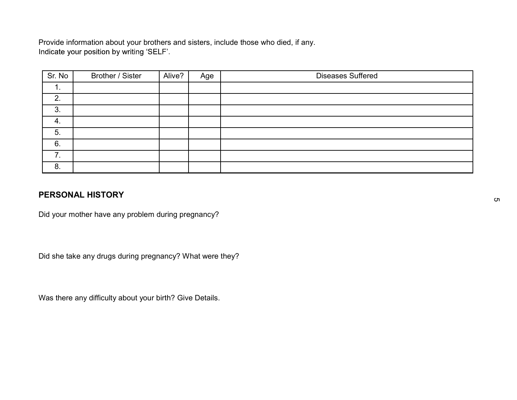Provide information about your brothers and sisters, include those who died, if any.<br>Indicate your position by writing 'SELF'.

| Sr. No | Brother / Sister | Alive? | Age | <b>Diseases Suffered</b> |
|--------|------------------|--------|-----|--------------------------|
| . .    |                  |        |     |                          |
| 2.     |                  |        |     |                          |
| 3.     |                  |        |     |                          |
| 4.     |                  |        |     |                          |
| 5.     |                  |        |     |                          |
| 6.     |                  |        |     |                          |
| ⇁      |                  |        |     |                          |
| 8.     |                  |        |     |                          |

# **PERSONAL HISTORY**

Did your mother have any problem during pregnancy?

Did she take any drugs during pregnancy? What were they?

Was there any difficulty about your birth? Give Details.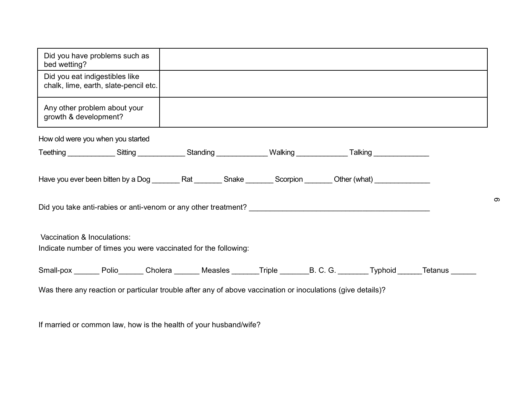| Did you have problems such as<br>bed wetting?                                                                                 |  |  |  |  |  |  |
|-------------------------------------------------------------------------------------------------------------------------------|--|--|--|--|--|--|
| Did you eat indigestibles like<br>chalk, lime, earth, slate-pencil etc.                                                       |  |  |  |  |  |  |
| Any other problem about your<br>growth & development?                                                                         |  |  |  |  |  |  |
| How old were you when you started                                                                                             |  |  |  |  |  |  |
| Teething ________________Sitting _______________Standing _______________Walking ________________Talking ____________          |  |  |  |  |  |  |
|                                                                                                                               |  |  |  |  |  |  |
|                                                                                                                               |  |  |  |  |  |  |
| Vaccination & Inoculations:<br>Indicate number of times you were vaccinated for the following:                                |  |  |  |  |  |  |
| Small-pox ________ Polio_______ Cholera ________ Measles _______Triple ________B. C. G. ________Typhoid ______Tetanus _______ |  |  |  |  |  |  |
| Was there any reaction or particular trouble after any of above vaccination or inoculations (give details)?                   |  |  |  |  |  |  |

If married or common law, how is the health of your husband/wife?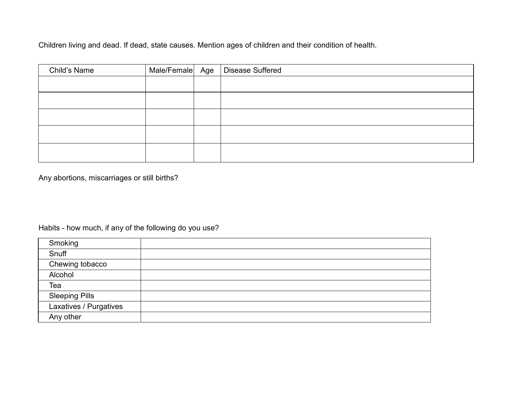Children living and dead. If dead, state causes. Mention ages of children and their condition of health.

| Child's Name |  | Male/Female Age   Disease Suffered |
|--------------|--|------------------------------------|
|              |  |                                    |
|              |  |                                    |
|              |  |                                    |
|              |  |                                    |
|              |  |                                    |

Any abortions, miscarriages or still births?

Habits - how much, if any of the following do you use?

| Smoking                |  |
|------------------------|--|
| Snuff                  |  |
| Chewing tobacco        |  |
| Alcohol                |  |
| Tea                    |  |
| <b>Sleeping Pills</b>  |  |
| Laxatives / Purgatives |  |
| Any other              |  |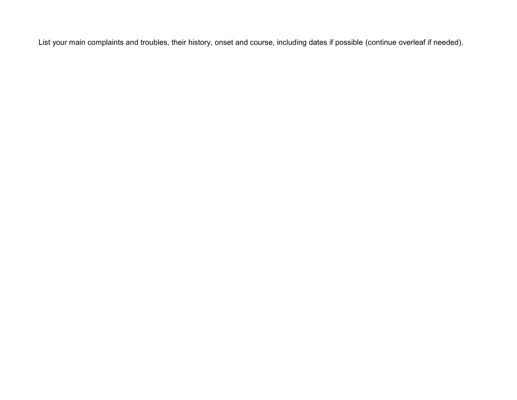List your main complaints and troubles, their history, onset and course, including dates if possible (continue overleaf if needed).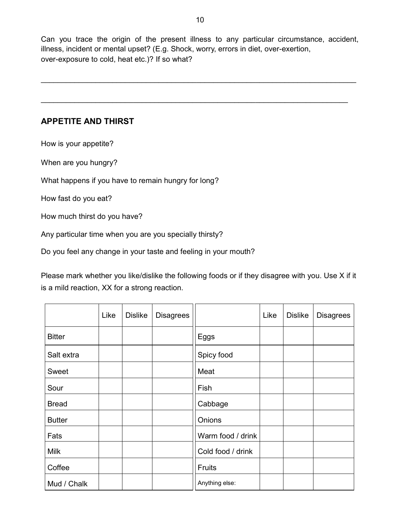Can you trace the origin of the present illness to any particular circumstance, accident, illness, incident or mental upset? (E.g. Shock, worry, errors in diet, over-exertion, over-exposure to cold, heat etc.)? If so what?

\_\_\_\_\_\_\_\_\_\_\_\_\_\_\_\_\_\_\_\_\_\_\_\_\_\_\_\_\_\_\_\_\_\_\_\_\_\_\_\_\_\_\_\_\_\_\_\_\_\_\_\_\_\_\_\_\_\_\_\_\_\_\_\_\_\_\_\_\_\_\_\_\_\_\_

\_\_\_\_\_\_\_\_\_\_\_\_\_\_\_\_\_\_\_\_\_\_\_\_\_\_\_\_\_\_\_\_\_\_\_\_\_\_\_\_\_\_\_\_\_\_\_\_\_\_\_\_\_\_\_\_\_\_\_\_\_\_\_\_\_\_\_\_\_\_\_\_\_

# **APPETITE AND THIRST**

How is your appetite?

When are you hungry?

What happens if you have to remain hungry for long?

How fast do you eat?

How much thirst do you have?

Any particular time when you are you specially thirsty?

Do you feel any change in your taste and feeling in your mouth?

Please mark whether you like/dislike the following foods or if they disagree with you. Use X if it is a mild reaction, XX for a strong reaction.

|               | Like | <b>Dislike</b> | <b>Disagrees</b> |                   | Like | <b>Dislike</b> | <b>Disagrees</b> |
|---------------|------|----------------|------------------|-------------------|------|----------------|------------------|
| <b>Bitter</b> |      |                |                  | Eggs              |      |                |                  |
| Salt extra    |      |                |                  | Spicy food        |      |                |                  |
| Sweet         |      |                |                  | Meat              |      |                |                  |
| Sour          |      |                |                  | Fish              |      |                |                  |
| <b>Bread</b>  |      |                |                  | Cabbage           |      |                |                  |
| <b>Butter</b> |      |                |                  | Onions            |      |                |                  |
| Fats          |      |                |                  | Warm food / drink |      |                |                  |
| <b>Milk</b>   |      |                |                  | Cold food / drink |      |                |                  |
| Coffee        |      |                |                  | <b>Fruits</b>     |      |                |                  |
| Mud / Chalk   |      |                |                  | Anything else:    |      |                |                  |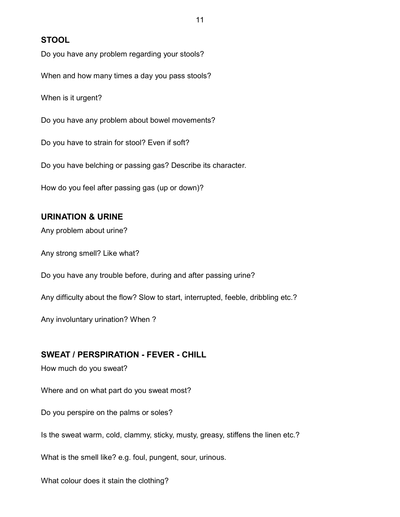### **STOOL**

Do you have any problem regarding your stools?

When and how many times a day you pass stools?

When is it urgent?

Do you have any problem about bowel movements?

Do you have to strain for stool? Even if soft?

Do you have belching or passing gas? Describe its character.

How do you feel after passing gas (up or down)?

#### **URINATION & URINE**

Any problem about urine?

Any strong smell? Like what?

Do you have any trouble before, during and after passing urine?

Any difficulty about the flow? Slow to start, interrupted, feeble, dribbling etc.?

Any involuntary urination? When ?

### **SWEAT / PERSPIRATION - FEVER - CHILL**

How much do you sweat?

Where and on what part do you sweat most?

Do you perspire on the palms or soles?

Is the sweat warm, cold, clammy, sticky, musty, greasy, stiffens the linen etc.?

What is the smell like? e.g. foul, pungent, sour, urinous.

What colour does it stain the clothing?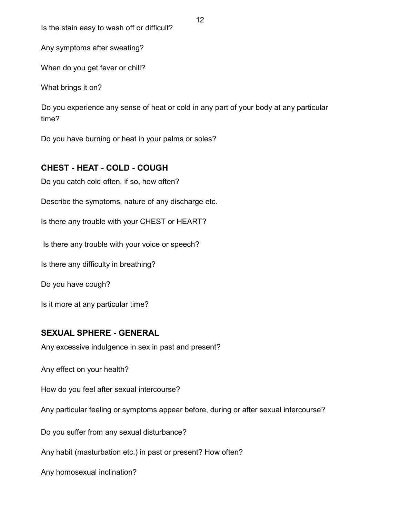Is the stain easy to wash off or difficult?

Any symptoms after sweating?

When do you get fever or chill?

What brings it on?

Do you experience any sense of heat or cold in any part of your body at any particular time?

Do you have burning or heat in your palms or soles?

# **CHEST - HEAT - COLD - COUGH**

Do you catch cold often, if so, how often?

Describe the symptoms, nature of any discharge etc.

Is there any trouble with your CHEST or HEART?

Is there any trouble with your voice or speech?

Is there any difficulty in breathing?

Do you have cough?

Is it more at any particular time?

# **SEXUAL SPHERE - GENERAL**

Any excessive indulgence in sex in past and present?

Any effect on your health?

How do you feel after sexual intercourse?

Any particular feeling or symptoms appear before, during or after sexual intercourse?

Do you suffer from any sexual disturbance?

Any habit (masturbation etc.) in past or present? How often?

Any homosexual inclination?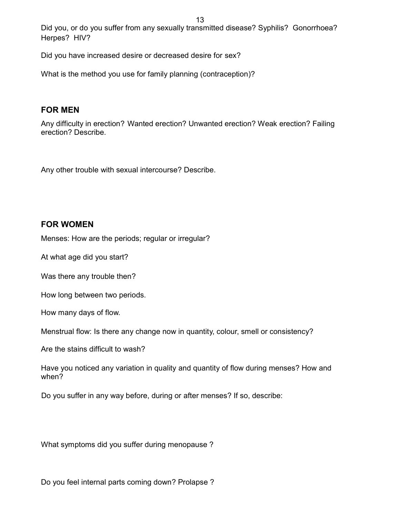Did you, or do you suffer from any sexually transmitted disease? Syphilis? Gonorrhoea? Herpes? HIV?

Did you have increased desire or decreased desire for sex?

What is the method you use for family planning (contraception)?

#### **FOR MEN**

Any difficulty in erection? Wanted erection? Unwanted erection? Weak erection? Failing erection? Describe.

Any other trouble with sexual intercourse? Describe.

#### **FOR WOMEN**

Menses: How are the periods; regular or irregular?

At what age did you start?

Was there any trouble then?

How long between two periods.

How many days of flow.

Menstrual flow: Is there any change now in quantity, colour, smell or consistency?

Are the stains difficult to wash?

Have you noticed any variation in quality and quantity of flow during menses? How and when?

Do you suffer in any way before, during or after menses? If so, describe:

What symptoms did you suffer during menopause ?

Do you feel internal parts coming down? Prolapse ?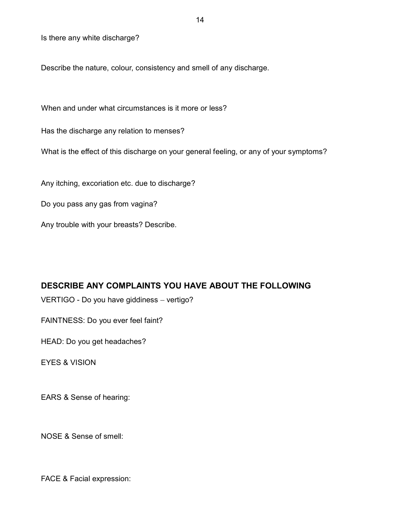Is there any white discharge?

Describe the nature, colour, consistency and smell of any discharge.

When and under what circumstances is it more or less?

Has the discharge any relation to menses?

What is the effect of this discharge on your general feeling, or any of your symptoms?

Any itching, excoriation etc. due to discharge?

Do you pass any gas from vagina?

Any trouble with your breasts? Describe.

#### **DESCRIBE ANY COMPLAINTS YOU HAVE ABOUT THE FOLLOWING**

VERTIGO - Do you have giddiness - vertigo?

FAINTNESS: Do you ever feel faint?

HEAD: Do you get headaches?

EYES & VISION

EARS & Sense of hearing:

NOSE & Sense of smell:

FACE & Facial expression: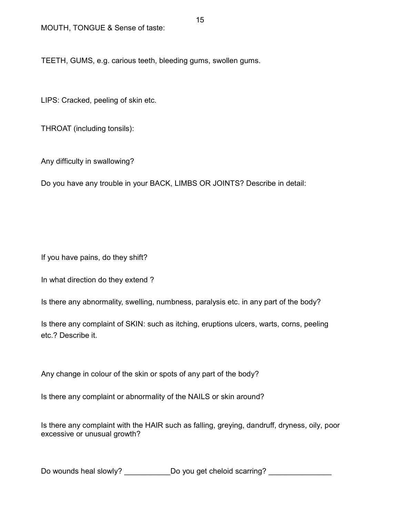TEETH, GUMS, e.g. carious teeth, bleeding gums, swollen gums.

LIPS: Cracked, peeling of skin etc.

THROAT (including tonsils):

Any difficulty in swallowing?

Do you have any trouble in your BACK, LIMBS OR JOINTS? Describe in detail:

If you have pains, do they shift?

In what direction do they extend ?

Is there any abnormality, swelling, numbness, paralysis etc. in any part of the body?

Is there any complaint of SKIN: such as itching, eruptions ulcers, warts, corns, peeling etc.? Describe it.

Any change in colour of the skin or spots of any part of the body?

Is there any complaint or abnormality of the NAILS or skin around?

Is there any complaint with the HAIR such as falling, greying, dandruff, dryness, oily, poor excessive or unusual growth?

Do wounds heal slowly? \_\_\_\_\_\_\_\_\_\_\_\_\_\_Do you get cheloid scarring? \_\_\_\_\_\_\_\_\_\_\_\_\_\_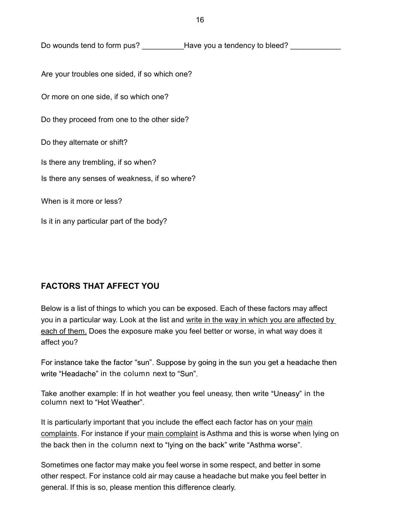Do wounds tend to form pus? Have you a tendency to bleed?

Are your troubles one sided, if so which one?

Or more on one side, if so which one?

Do they proceed from one to the other side?

Do they alternate or shift?

Is there any trembling, if so when?

Is there any senses of weakness, if so where?

When is it more or less?

Is it in any particular part of the body?

### **FACTORS THAT AFFECT YOU**

Below is a list of things to which you can be exposed. Each of these factors may affect you in a particular way. Look at the list and write in the way in which you are affected by each of them. Does the exposure make you feel better or worse, in what way does it affect you?

For instance take the factor "sun". Suppose by going in the sun you get a headache then write "Headache" in the column next to "Sun".

Take another example: If in hot weather you feel uneasy, then write "Uneasy" in the column next to "Hot Weather".

It is particularly important that you include the effect each factor has on your main complaints. For instance if your main complaint is Asthma and this is worse when lying on the back then in the column next to "lying on the back" write "Asthma worse".

Sometimes one factor may make you feel worse in some respect, and better in some other respect. For instance cold air may cause a headache but make you feel better in general. If this is so, please mention this difference clearly.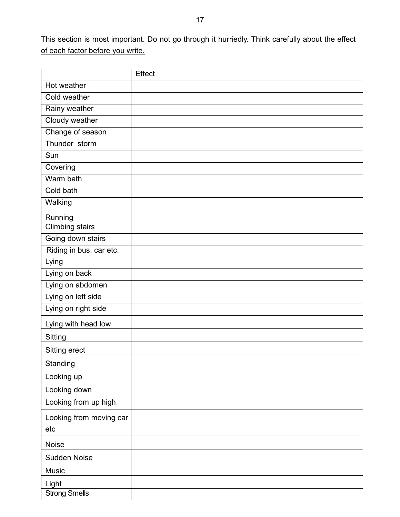This section is most important. Do not go through it hurriedly. Think carefully about the effect of each factor before you write.

|                         | Effect |
|-------------------------|--------|
| Hot weather             |        |
| Cold weather            |        |
| Rainy weather           |        |
| Cloudy weather          |        |
| Change of season        |        |
| Thunder storm           |        |
| Sun                     |        |
| Covering                |        |
| Warm bath               |        |
| Cold bath               |        |
| Walking                 |        |
| Running                 |        |
| <b>Climbing stairs</b>  |        |
| Going down stairs       |        |
| Riding in bus, car etc. |        |
| Lying                   |        |
| Lying on back           |        |
| Lying on abdomen        |        |
| Lying on left side      |        |
| Lying on right side     |        |
| Lying with head low     |        |
| Sitting                 |        |
| Sitting erect           |        |
| Standing                |        |
| Looking up              |        |
| Looking down            |        |
| Looking from up high    |        |
| Looking from moving car |        |
| etc                     |        |
| Noise                   |        |
| Sudden Noise            |        |
| Music                   |        |
| Light                   |        |
| <b>Strong Smells</b>    |        |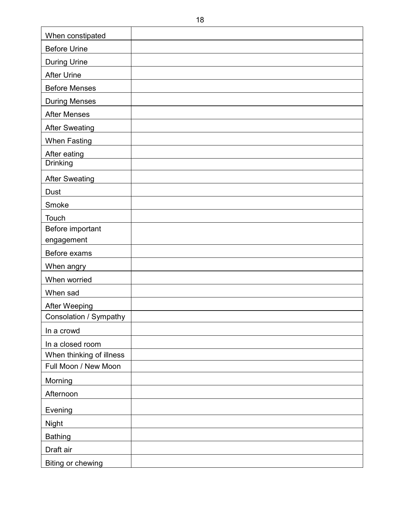| When constipated         |
|--------------------------|
| <b>Before Urine</b>      |
| <b>During Urine</b>      |
| <b>After Urine</b>       |
| <b>Before Menses</b>     |
| <b>During Menses</b>     |
| <b>After Menses</b>      |
| <b>After Sweating</b>    |
| <b>When Fasting</b>      |
| After eating             |
| Drinking                 |
| <b>After Sweating</b>    |
| Dust                     |
| Smoke                    |
| Touch                    |
| Before important         |
| engagement               |
| Before exams             |
| When angry               |
| When worried             |
| When sad                 |
| After Weeping            |
| Consolation / Sympathy   |
| In a crowd               |
| In a closed room         |
| When thinking of illness |
| Full Moon / New Moon     |
| Morning                  |
| Afternoon                |
| Evening                  |
| <b>Night</b>             |
| <b>Bathing</b>           |
| Draft air                |
| Biting or chewing        |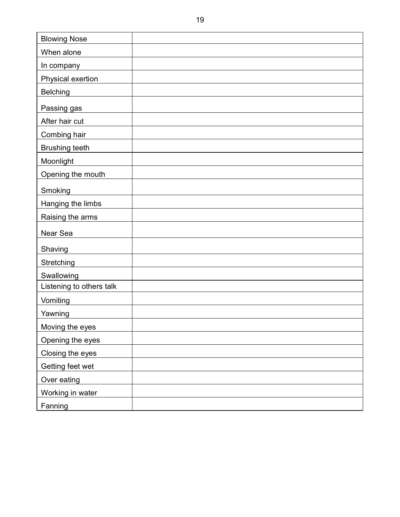| <b>Blowing Nose</b>      |  |
|--------------------------|--|
| When alone               |  |
| In company               |  |
| Physical exertion        |  |
| <b>Belching</b>          |  |
| Passing gas              |  |
| After hair cut           |  |
| Combing hair             |  |
| <b>Brushing teeth</b>    |  |
| Moonlight                |  |
| Opening the mouth        |  |
| Smoking                  |  |
| Hanging the limbs        |  |
| Raising the arms         |  |
| Near Sea                 |  |
| Shaving                  |  |
| Stretching               |  |
| Swallowing               |  |
| Listening to others talk |  |
| Vomiting                 |  |
| Yawning                  |  |
| Moving the eyes          |  |
| Opening the eyes         |  |
| Closing the eyes         |  |
| Getting feet wet         |  |
| Over eating              |  |
| Working in water         |  |
| Fanning                  |  |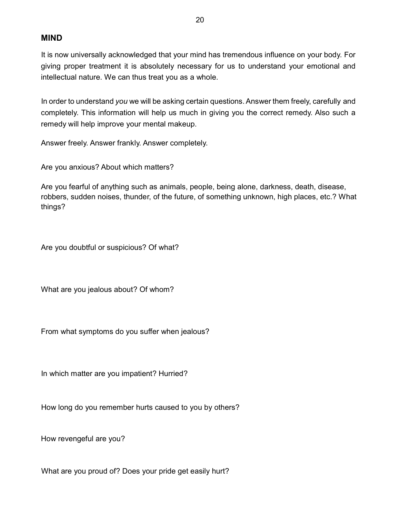#### **MIND**

It is now universally acknowledged that your mind has tremendous influence on your body. For giving proper treatment it is absolutely necessary for us to understand your emotional and intellectual nature. We can thus treat you as a whole.

In order to understand *you* we will be asking certain questions. Answer them freely, carefully and completely. This information will help us much in giving you the correct remedy. Also such a remedy will help improve your mental makeup.

Answer freely. Answer frankly. Answer completely.

Are you anxious? About which matters?

Are you fearful of anything such as animals, people, being alone, darkness, death, disease, robbers, sudden noises, thunder, of the future, of something unknown, high places, etc.? What things?

Are you doubtful or suspicious? Of what?

What are you jealous about? Of whom?

From what symptoms do you suffer when jealous?

In which matter are you impatient? Hurried?

How long do you remember hurts caused to you by others?

How revengeful are you?

What are you proud of? Does your pride get easily hurt?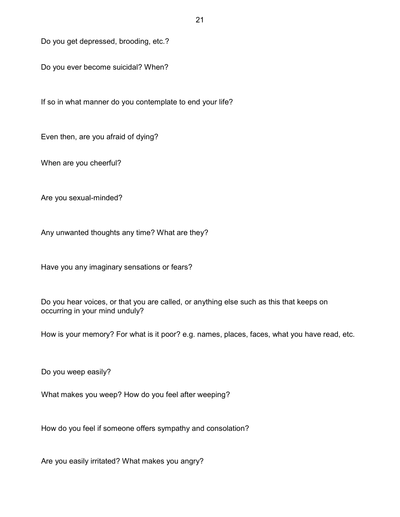Do you get depressed, brooding, etc.?

Do you ever become suicidal? When?

If so in what manner do you contemplate to end your life?

Even then, are you afraid of dying?

When are you cheerful?

Are you sexual-minded?

Any unwanted thoughts any time? What are they?

Have you any imaginary sensations or fears?

Do you hear voices, or that you are called, or anything else such as this that keeps on occurring in your mind unduly?

How is your memory? For what is it poor? e.g. names, places, faces, what you have read, etc.

Do you weep easily?

What makes you weep? How do you feel after weeping?

How do you feel if someone offers sympathy and consolation?

Are you easily irritated? What makes you angry?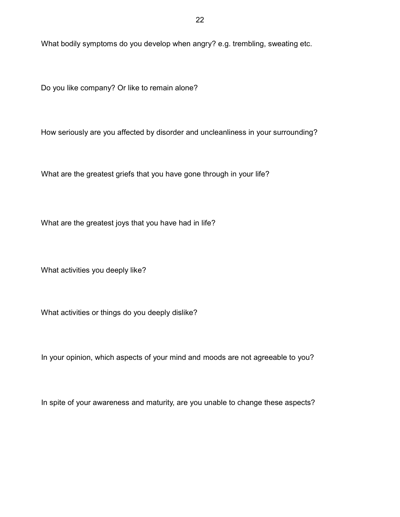What bodily symptoms do you develop when angry? e.g. trembling, sweating etc.

Do you like company? Or like to remain alone?

How seriously are you affected by disorder and uncleanliness in your surrounding?

What are the greatest griefs that you have gone through in your life?

What are the greatest joys that you have had in life?

What activities you deeply like?

What activities or things do you deeply dislike?

In your opinion, which aspects of your mind and moods are not agreeable to you?

In spite of your awareness and maturity, are you unable to change these aspects?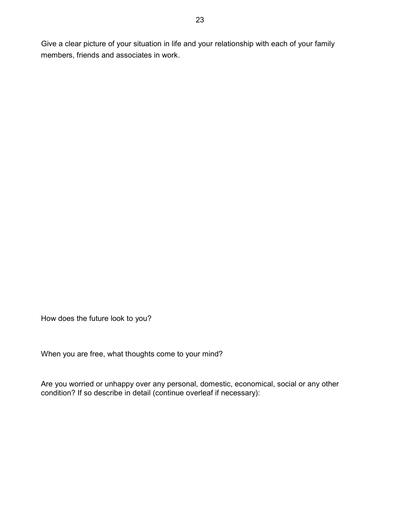Give a clear picture of your situation in life and your relationship with each of your family members, friends and associates in work.

How does the future look to you?

When you are free, what thoughts come to your mind?

Are you worried or unhappy over any personal, domestic, economical, social or any other condition? If so describe in detail (continue overleaf if necessary):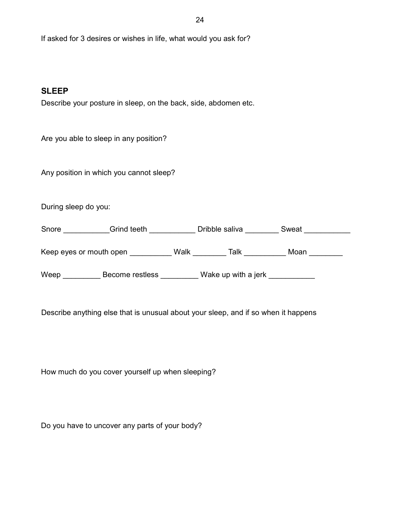If asked for 3 desires or wishes in life, what would you ask for?

#### **SLEEP**

Describe your posture in sleep, on the back, side, abdomen etc.

Are you able to sleep in any position?

Any position in which you cannot sleep?

During sleep do you:

Snore \_\_\_\_\_\_\_\_\_\_\_Grind teeth \_\_\_\_\_\_\_\_\_\_\_Dribble saliva \_\_\_\_\_\_\_\_\_ Sweat \_\_\_\_\_\_\_\_\_

Keep eyes or mouth open Talk Talk Talk Moan

Weep \_\_\_\_\_\_\_\_\_\_ Become restless \_\_\_\_\_\_\_\_ Wake up with a jerk \_\_\_\_\_\_\_\_\_\_

Describe anything else that is unusual about your sleep, and if so when it happens

How much do you cover yourself up when sleeping?

Do you have to uncover any parts of your body?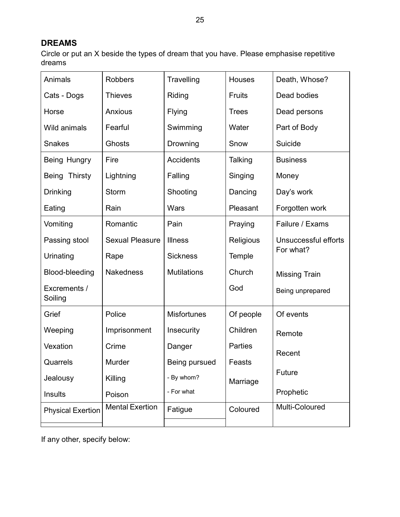# **DREAMS**

Circle or put an X beside the types of dream that you have. Please emphasise repetitive dreams

| Animals                  | <b>Robbers</b>         | Travelling         | <b>Houses</b> | Death, Whose?        |  |
|--------------------------|------------------------|--------------------|---------------|----------------------|--|
| Cats - Dogs              | <b>Thieves</b>         | Riding             | <b>Fruits</b> | Dead bodies          |  |
| Horse                    | <b>Anxious</b>         | Flying             | <b>Trees</b>  | Dead persons         |  |
| Wild animals             | Fearful                | Swimming           | Water         | Part of Body         |  |
| <b>Snakes</b>            | Ghosts                 | Drowning           | Snow          | Suicide              |  |
| Being Hungry             | Fire                   | <b>Accidents</b>   | Talking       | <b>Business</b>      |  |
| Thirsty<br><b>Being</b>  | Lightning              | Falling            | Singing       | Money                |  |
| <b>Drinking</b>          | Storm                  | Shooting           | Dancing       | Day's work           |  |
| Eating                   | Rain                   | Wars               | Pleasant      | Forgotten work       |  |
| Vomiting                 | Romantic               | Pain               | Praying       | Failure / Exams      |  |
| Passing stool            | <b>Sexual Pleasure</b> | <b>Illness</b>     | Religious     | Unsuccessful efforts |  |
| Urinating                | Rape                   | <b>Sickness</b>    | Temple        | For what?            |  |
| Blood-bleeding           | <b>Nakedness</b>       | <b>Mutilations</b> | Church        | <b>Missing Train</b> |  |
| Excrements /<br>Soiling  |                        |                    | God           | Being unprepared     |  |
| Grief                    | Police                 | <b>Misfortunes</b> | Of people     | Of events            |  |
| Weeping                  | Imprisonment           | Insecurity         | Children      | Remote               |  |
| Vexation                 | Crime                  | Danger             | Parties       | Recent               |  |
| Quarrels                 | Murder                 | Being pursued      | Feasts        |                      |  |
| Jealousy                 | Killing                | - By whom?         | Marriage      | Future               |  |
| Insults                  | Poison                 | - For what         |               | Prophetic            |  |
| <b>Physical Exertion</b> | <b>Mental Exertion</b> | Fatigue            | Coloured      | Multi-Coloured       |  |
|                          |                        |                    |               |                      |  |

If any other, specify below: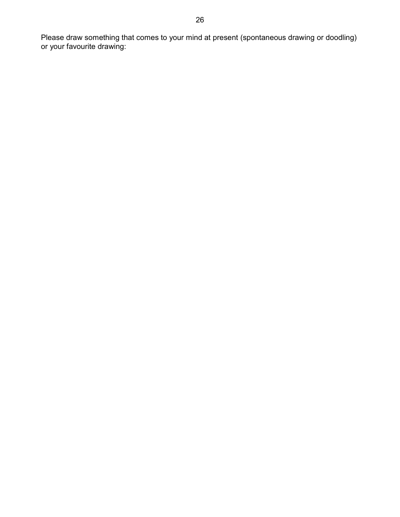Please draw something that comes to your mind at present (spontaneous drawing or doodling) or your favourite drawing: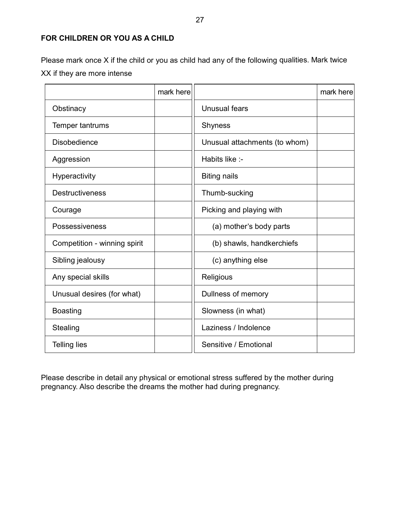#### **FOR CHILDREN OR YOU AS A CHILD**

Please mark once X if the child or you as child had any of the following qualities. Mark twice XX if they are more intense

|                              | mark here |                               | mark here |
|------------------------------|-----------|-------------------------------|-----------|
| Obstinacy                    |           | Unusual fears                 |           |
| Temper tantrums              |           | <b>Shyness</b>                |           |
| <b>Disobedience</b>          |           | Unusual attachments (to whom) |           |
| Aggression                   |           | Habits like :-                |           |
| <b>Hyperactivity</b>         |           | <b>Biting nails</b>           |           |
| <b>Destructiveness</b>       |           | Thumb-sucking                 |           |
| Courage                      |           | Picking and playing with      |           |
| Possessiveness               |           | (a) mother's body parts       |           |
| Competition - winning spirit |           | (b) shawls, handkerchiefs     |           |
| Sibling jealousy             |           | (c) anything else             |           |
| Any special skills           |           | Religious                     |           |
| Unusual desires (for what)   |           | Dullness of memory            |           |
| <b>Boasting</b>              |           | Slowness (in what)            |           |
| <b>Stealing</b>              |           | Laziness / Indolence          |           |
| <b>Telling lies</b>          |           | Sensitive / Emotional         |           |

Please describe in detail any physical or emotional stress suffered by the mother during pregnancy. Also describe the dreams the mother had during pregnancy.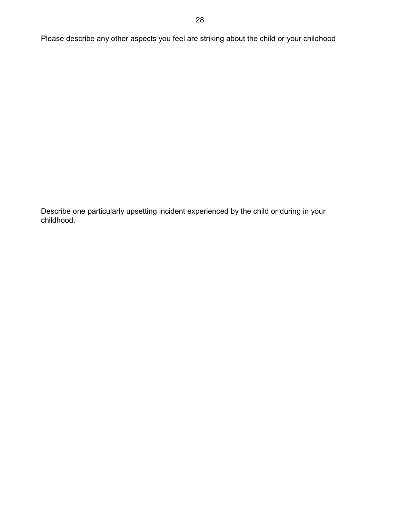Please describe any other aspects you feel are striking about the child or your childhood

Describe one particularly upsetting incident experienced by the child or during in your childhood.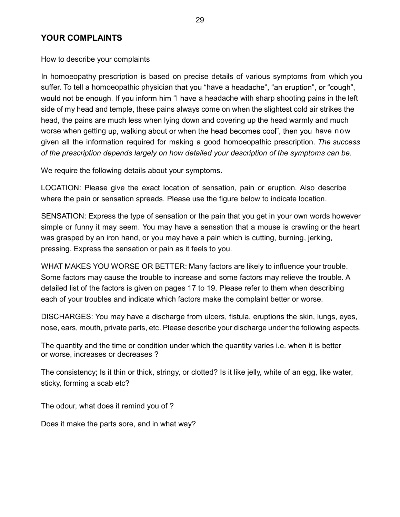# **YOUR COMPLAINTS**

How to describe your complaints

In homoeopathy prescription is based on precise details of various symptoms from which you suffer. To tell a homoeopathic physician that you "have a headache", "an eruption", or "cough", would not be enough. If you inform him "I have a headache with sharp shooting pains in the left side of my head and temple, these pains always come on when the slightest cold air strikes the head, the pains are much less when lying down and covering up the head warmly and much worse when getting up, walking about or when the head becomes cool", then you have now given all the information required for making a good homoeopathic prescription. *The success of the prescription depends largely on how detailed your description of the symptoms can be.*

We require the following details about your symptoms.

LOCATION: Please give the exact location of sensation, pain or eruption. Also describe where the pain or sensation spreads. Please use the figure below to indicate location.

SENSATION: Express the type of sensation or the pain that you get in your own words however simple or funny it may seem. You may have a sensation that a mouse is crawling or the heart was grasped by an iron hand, or you may have a pain which is cutting, burning, jerking, pressing. Express the sensation or pain as it feels to you.

WHAT MAKES YOU WORSE OR BETTER: Many factors are likely to influence your trouble. Some factors may cause the trouble to increase and some factors may relieve the trouble. A detailed list of the factors is given on pages 17 to 19. Please refer to them when describing each of your troubles and indicate which factors make the complaint better or worse.

DISCHARGES: You may have a discharge from ulcers, fistula, eruptions the skin, lungs, eyes, nose, ears, mouth, private parts, etc. Please describe your discharge under the following aspects.

The quantity and the time or condition under which the quantity varies i.e. when it is better or worse, increases or decreases ?

The consistency; Is it thin or thick, stringy, or clotted? Is it like jelly, white of an egg, like water, sticky, forming a scab etc?

The odour, what does it remind you of ?

Does it make the parts sore, and in what way?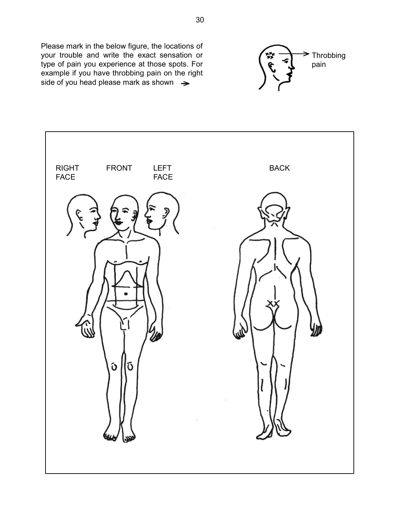Please mark in the below figure, the locations of your trouble and write the exact sensation or type of pain you experience at those spots. For example if you have throbbing pain on the right side of you head please mark as shown  $\rightarrow$ 



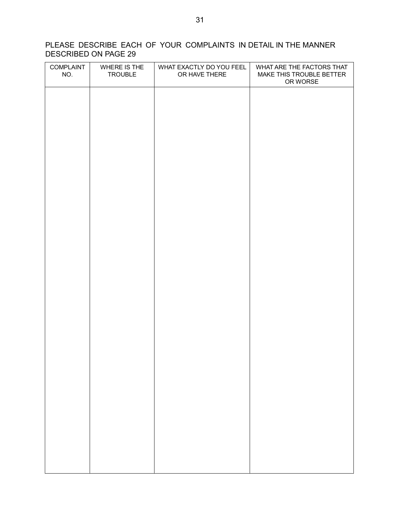# PLEASE DESCRIBE EACH OF YOUR COMPLAINTS IN DETAIL IN THE MANNER DESCRIBED ON PAGE 29

| WHAT ARE THE FACTORS THAT<br>MAKE THIS TROUBLE BETTER |
|-------------------------------------------------------|
|                                                       |
|                                                       |
|                                                       |
|                                                       |
|                                                       |
|                                                       |
|                                                       |
|                                                       |
|                                                       |
|                                                       |
|                                                       |
|                                                       |
|                                                       |
|                                                       |
|                                                       |
|                                                       |
|                                                       |
|                                                       |
|                                                       |